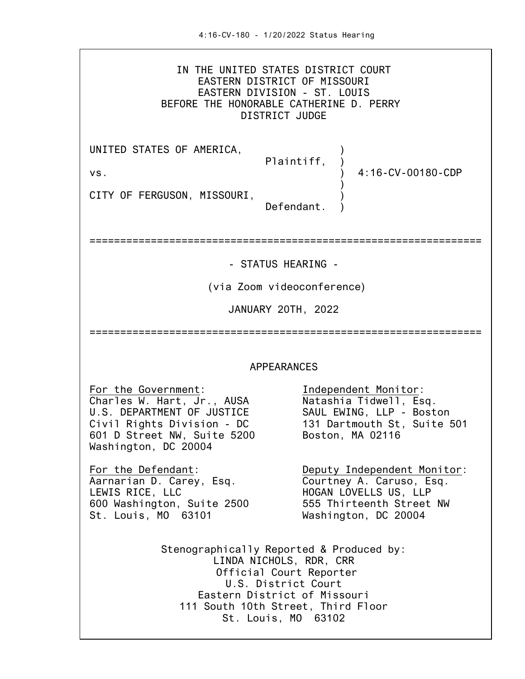IN THE UNITED STATES DISTRICT COURT EASTERN DISTRICT OF MISSOURI EASTERN DIVISION - ST. LOUIS BEFORE THE HONORABLE CATHERINE D. PERRY DISTRICT JUDGE

UNITED STATES OF AMERICA, Plaintiff, ) vs. ) 4:16-CV-00180-CDP ) CITY OF FERGUSON, MISSOURI, Defendant.

================================================================

- STATUS HEARING -

(via Zoom videoconference)

JANUARY 20TH, 2022

================================================================

## APPEARANCES

For the Government:<br>Charles W. Hart, Jr., AUSA Natashia Tidwell, Esq. Charles W. Hart, Jr., AUSA<br>
U.S. DEPARTMENT OF JUSTICE SAUL EWING, LLP - Boston U.S. DEPARTMENT OF JUSTICE 601 D Street NW, Suite 5200 Washington, DC 20004

Aarnarian D. Carey, Esq.<br>LEWIS RICE, LLC 600 Washington, Suite 2500 555 Thirteenth Street NW St. Louis, MO 63101 Washington, DC 20004

Civil Rights Division - DC 131 Dartmouth St, Suite 501

For the Defendant: Deputy Independent Monitor:<br>Aarnarian D. Carey, Esq. Courtney A. Caruso, Esq. HOGAN LOVELLS US, LLP

> Stenographically Reported & Produced by: LINDA NICHOLS, RDR, CRR Official Court Reporter U.S. District Court Eastern District of Missouri 111 South 10th Street, Third Floor St. Louis, MO 63102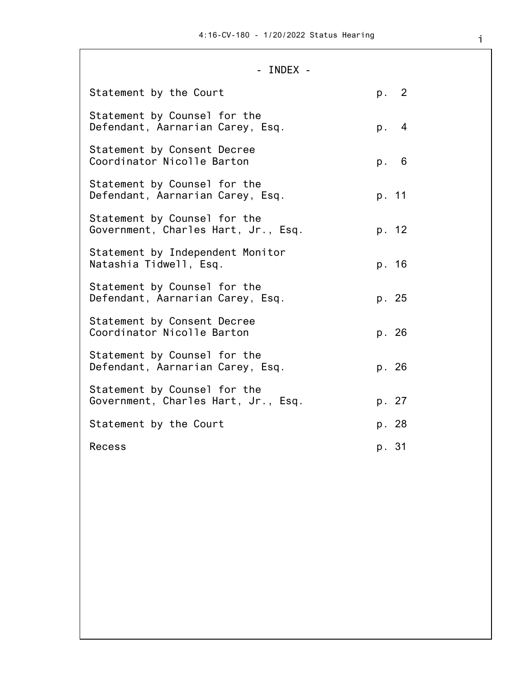## - INDEX -

| Statement by the Court                                              | p. 2  |
|---------------------------------------------------------------------|-------|
| Statement by Counsel for the<br>Defendant, Aarnarian Carey, Esq.    | p. 4  |
| Statement by Consent Decree<br>Coordinator Nicolle Barton           | p. 6  |
| Statement by Counsel for the<br>Defendant, Aarnarian Carey, Esq.    | p. 11 |
| Statement by Counsel for the<br>Government, Charles Hart, Jr., Esq. | p. 12 |
| Statement by Independent Monitor<br>Natashia Tidwell, Esq.          | p. 16 |
| Statement by Counsel for the<br>Defendant, Aarnarian Carey, Esq.    | p. 25 |
| Statement by Consent Decree<br>Coordinator Nicolle Barton           | p. 26 |
| Statement by Counsel for the<br>Defendant, Aarnarian Carey, Esq.    | p. 26 |
| Statement by Counsel for the<br>Government, Charles Hart, Jr., Esq. | p. 27 |
| Statement by the Court                                              | p. 28 |
| Recess                                                              | p. 31 |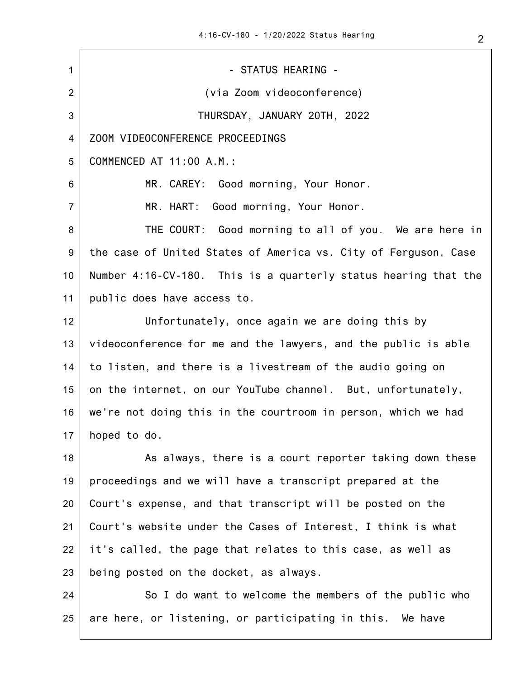1 2 3 4 5 6 7 8 9 10 11 12 13 14 15 16 17 18 19 20 21 22 23 24 - STATUS HEARING - (via Zoom videoconference) THURSDAY, JANUARY 20TH, 2022 ZOOM VIDEOCONFERENCE PROCEEDINGS COMMENCED AT 11:00 A.M.: MR. CAREY: Good morning, Your Honor. MR. HART: Good morning, Your Honor. THE COURT: Good morning to all of you. We are here in the case of United States of America vs. City of Ferguson, Case Number 4:16-CV-180. This is a quarterly status hearing that the public does have access to. Unfortunately, once again we are doing this by videoconference for me and the lawyers, and the public is able to listen, and there is a livestream of the audio going on on the internet, on our YouTube channel. But, unfortunately, we're not doing this in the courtroom in person, which we had hoped to do. As always, there is a court reporter taking down these proceedings and we will have a transcript prepared at the Court's expense, and that transcript will be posted on the Court's website under the Cases of Interest, I think is what it's called, the page that relates to this case, as well as being posted on the docket, as always. So I do want to welcome the members of the public who

25 are here, or listening, or participating in this. We have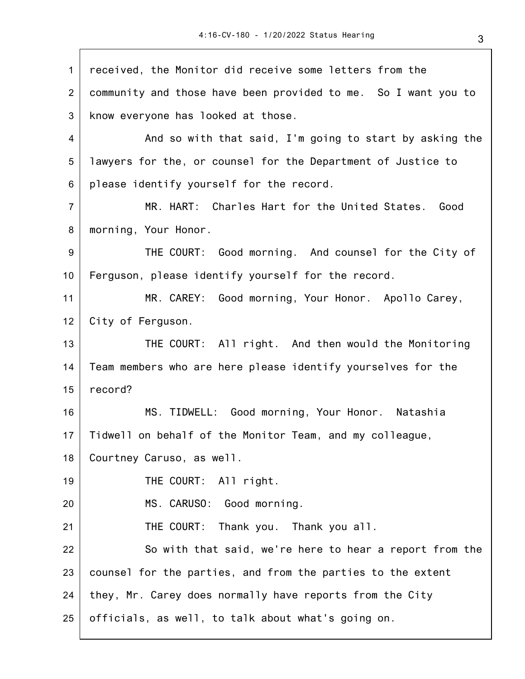1 2 3 4 5 6 7 8 9 10 11 12 13 14 15 16 17 18 19 20 21 22 23 24 25 received, the Monitor did receive some letters from the community and those have been provided to me. So I want you to know everyone has looked at those. And so with that said, I'm going to start by asking the lawyers for the, or counsel for the Department of Justice to please identify yourself for the record. MR. HART: Charles Hart for the United States. Good morning, Your Honor. THE COURT: Good morning. And counsel for the City of Ferguson, please identify yourself for the record. MR. CAREY: Good morning, Your Honor. Apollo Carey, City of Ferguson. THE COURT: All right. And then would the Monitoring Team members who are here please identify yourselves for the record? MS. TIDWELL: Good morning, Your Honor. Natashia Tidwell on behalf of the Monitor Team, and my colleague, Courtney Caruso, as well. THE COURT: All right. MS. CARUSO: Good morning. THE COURT: Thank you. Thank you all. So with that said, we're here to hear a report from the counsel for the parties, and from the parties to the extent they, Mr. Carey does normally have reports from the City officials, as well, to talk about what's going on.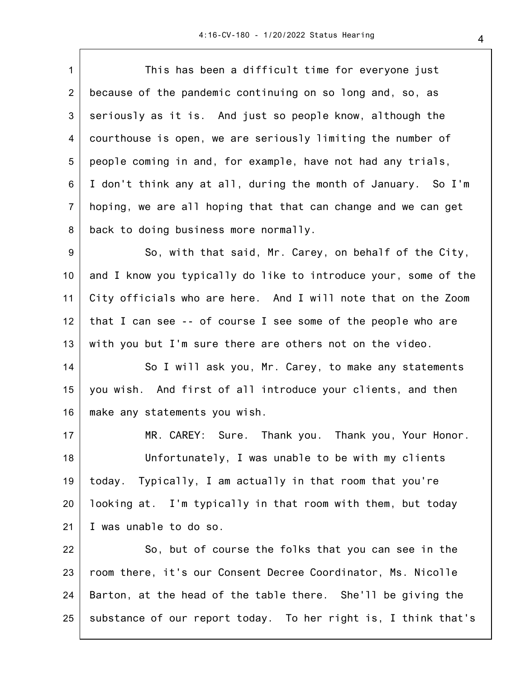1 2 3 4 5 6 7 8 9 10 11 12 13 14 15 16 17 18 19 20 21 22 23 24 25 This has been a difficult time for everyone just because of the pandemic continuing on so long and, so, as seriously as it is. And just so people know, although the courthouse is open, we are seriously limiting the number of people coming in and, for example, have not had any trials, I don't think any at all, during the month of January. So I'm hoping, we are all hoping that that can change and we can get back to doing business more normally. So, with that said, Mr. Carey, on behalf of the City, and I know you typically do like to introduce your, some of the City officials who are here. And I will note that on the Zoom that I can see -- of course I see some of the people who are with you but I'm sure there are others not on the video. So I will ask you, Mr. Carey, to make any statements you wish. And first of all introduce your clients, and then make any statements you wish. MR. CAREY: Sure. Thank you. Thank you, Your Honor. Unfortunately, I was unable to be with my clients today. Typically, I am actually in that room that you're looking at. I'm typically in that room with them, but today I was unable to do so. So, but of course the folks that you can see in the room there, it's our Consent Decree Coordinator, Ms. Nicolle Barton, at the head of the table there. She'll be giving the substance of our report today. To her right is, I think that's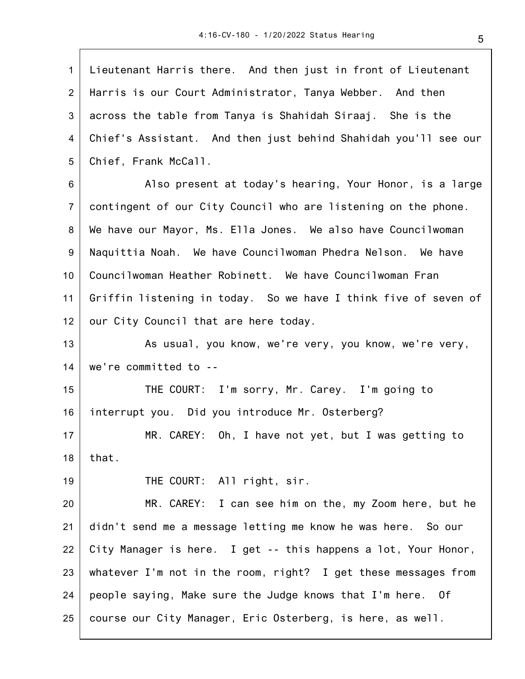1 2 3 4 5 6 7 8 9 10 11 12 13 14 15 16 17 18 19 20 21 22 23 24 25 Lieutenant Harris there. And then just in front of Lieutenant Harris is our Court Administrator, Tanya Webber. And then across the table from Tanya is Shahidah Siraaj. She is the Chief's Assistant. And then just behind Shahidah you'll see our Chief, Frank McCall. Also present at today's hearing, Your Honor, is a large contingent of our City Council who are listening on the phone. We have our Mayor, Ms. Ella Jones. We also have Councilwoman Naquittia Noah. We have Councilwoman Phedra Nelson. We have Councilwoman Heather Robinett. We have Councilwoman Fran Griffin listening in today. So we have I think five of seven of our City Council that are here today. As usual, you know, we're very, you know, we're very, we're committed to -- THE COURT: I'm sorry, Mr. Carey. I'm going to interrupt you. Did you introduce Mr. Osterberg? MR. CAREY: Oh, I have not yet, but I was getting to that. THE COURT: All right, sir. MR. CAREY: I can see him on the, my Zoom here, but he didn't send me a message letting me know he was here. So our City Manager is here. I get -- this happens a lot, Your Honor, whatever I'm not in the room, right? I get these messages from people saying, Make sure the Judge knows that I'm here. Of course our City Manager, Eric Osterberg, is here, as well.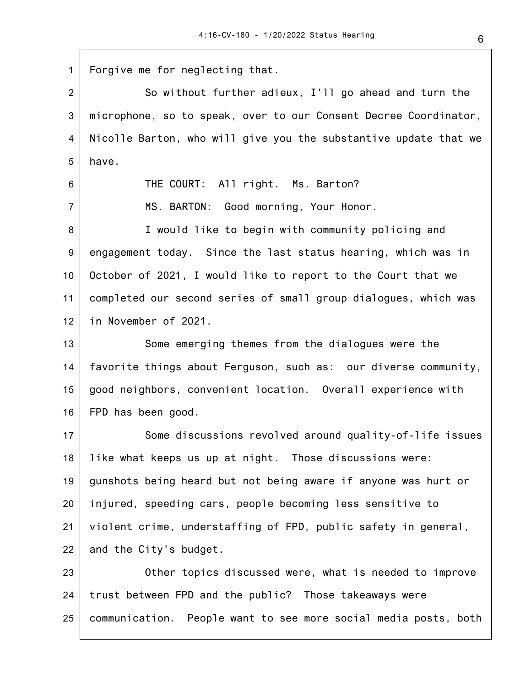1 2 3 4 5 6 7 8 9 10 11 12 13 14 15 16 17 18 19 20 21 22 23 24 25 Forgive me for neglecting that. So without further adieux, I'll go ahead and turn the microphone, so to speak, over to our Consent Decree Coordinator, Nicolle Barton, who will give you the substantive update that we have. THE COURT: All right. Ms. Barton? MS. BARTON: Good morning, Your Honor. I would like to begin with community policing and engagement today. Since the last status hearing, which was in October of 2021, I would like to report to the Court that we completed our second series of small group dialogues, which was in November of 2021. Some emerging themes from the dialogues were the favorite things about Ferguson, such as: our diverse community, good neighbors, convenient location. Overall experience with FPD has been good. Some discussions revolved around quality-of-life issues like what keeps us up at night. Those discussions were: gunshots being heard but not being aware if anyone was hurt or injured, speeding cars, people becoming less sensitive to violent crime, understaffing of FPD, public safety in general, and the City's budget. Other topics discussed were, what is needed to improve trust between FPD and the public? Those takeaways were communication. People want to see more social media posts, both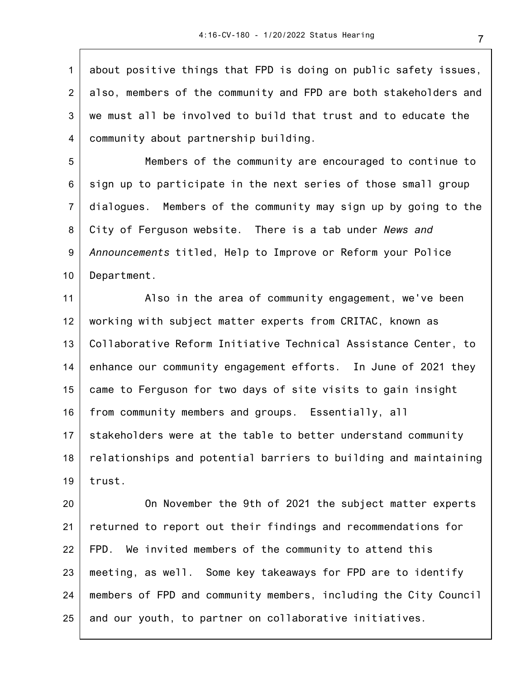1 2 3 4 about positive things that FPD is doing on public safety issues, also, members of the community and FPD are both stakeholders and we must all be involved to build that trust and to educate the community about partnership building.

5 6 7 8 9 10 Members of the community are encouraged to continue to sign up to participate in the next series of those small group dialogues. Members of the community may sign up by going to the City of Ferguson website. There is a tab under *News and Announcements* titled, Help to Improve or Reform your Police Department.

11 12 13 14 15 16 17 18 19 Also in the area of community engagement, we've been working with subject matter experts from CRITAC, known as Collaborative Reform Initiative Technical Assistance Center, to enhance our community engagement efforts. In June of 2021 they came to Ferguson for two days of site visits to gain insight from community members and groups. Essentially, all stakeholders were at the table to better understand community relationships and potential barriers to building and maintaining trust.

20 21 22 23 24 25 On November the 9th of 2021 the subject matter experts returned to report out their findings and recommendations for FPD. We invited members of the community to attend this meeting, as well. Some key takeaways for FPD are to identify members of FPD and community members, including the City Council and our youth, to partner on collaborative initiatives.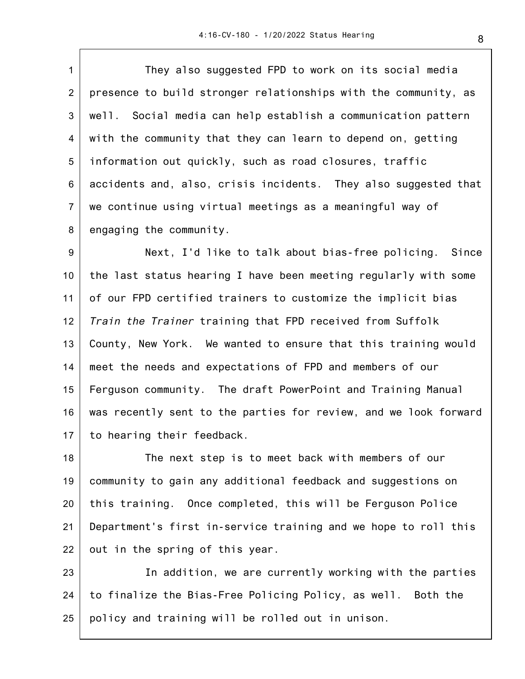1 2 3 4 5 6 7 8 They also suggested FPD to work on its social media presence to build stronger relationships with the community, as well. Social media can help establish a communication pattern with the community that they can learn to depend on, getting information out quickly, such as road closures, traffic accidents and, also, crisis incidents. They also suggested that we continue using virtual meetings as a meaningful way of engaging the community.

9 10 11 12 13 14 15 16 17 Next, I'd like to talk about bias-free policing. Since the last status hearing I have been meeting regularly with some of our FPD certified trainers to customize the implicit bias *Train the Trainer* training that FPD received from Suffolk County, New York. We wanted to ensure that this training would meet the needs and expectations of FPD and members of our Ferguson community. The draft PowerPoint and Training Manual was recently sent to the parties for review, and we look forward to hearing their feedback.

18 19 20 21 22 The next step is to meet back with members of our community to gain any additional feedback and suggestions on this training. Once completed, this will be Ferguson Police Department's first in-service training and we hope to roll this out in the spring of this year.

23 24 25 In addition, we are currently working with the parties to finalize the Bias-Free Policing Policy, as well. Both the policy and training will be rolled out in unison.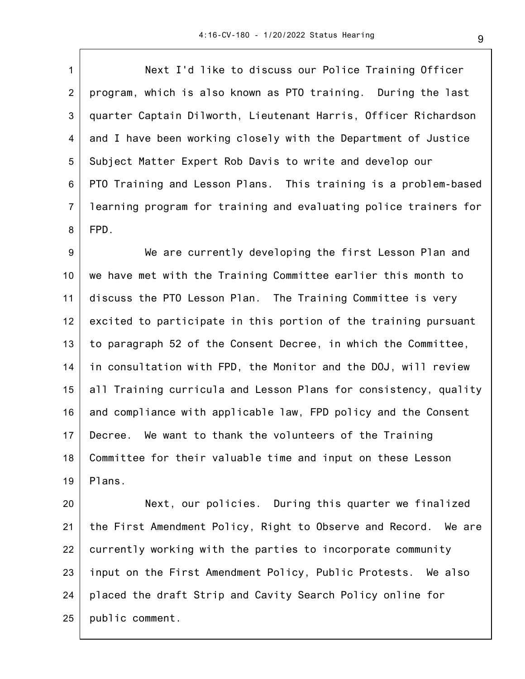1 2 3 4 5 6 7 8 Next I'd like to discuss our Police Training Officer program, which is also known as PTO training. During the last quarter Captain Dilworth, Lieutenant Harris, Officer Richardson and I have been working closely with the Department of Justice Subject Matter Expert Rob Davis to write and develop our PTO Training and Lesson Plans. This training is a problem-based learning program for training and evaluating police trainers for FPD.

9 10 11 12 13 14 15 16 17 18 19 We are currently developing the first Lesson Plan and we have met with the Training Committee earlier this month to discuss the PTO Lesson Plan. The Training Committee is very excited to participate in this portion of the training pursuant to paragraph 52 of the Consent Decree, in which the Committee, in consultation with FPD, the Monitor and the DOJ, will review all Training curricula and Lesson Plans for consistency, quality and compliance with applicable law, FPD policy and the Consent Decree. We want to thank the volunteers of the Training Committee for their valuable time and input on these Lesson Plans.

20 21 22 23 24 25 Next, our policies. During this quarter we finalized the First Amendment Policy, Right to Observe and Record. We are currently working with the parties to incorporate community input on the First Amendment Policy, Public Protests. We also placed the draft Strip and Cavity Search Policy online for public comment.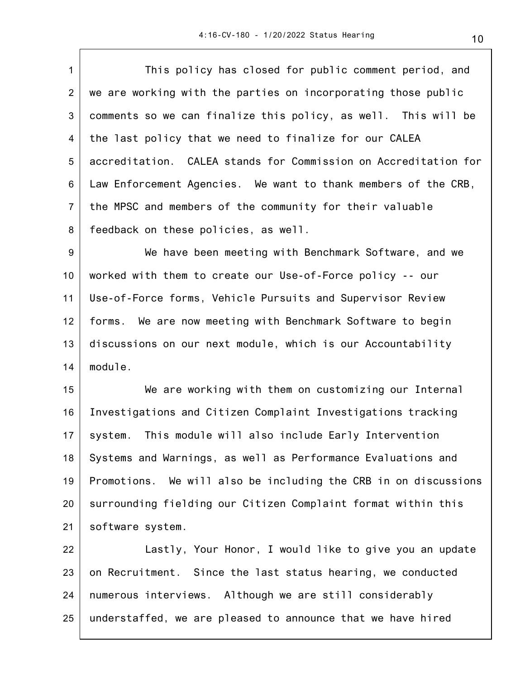1 2 3 4 5 6 7 8 9 10 11 12 13 14 This policy has closed for public comment period, and we are working with the parties on incorporating those public comments so we can finalize this policy, as well. This will be the last policy that we need to finalize for our CALEA accreditation. CALEA stands for Commission on Accreditation for Law Enforcement Agencies. We want to thank members of the CRB, the MPSC and members of the community for their valuable feedback on these policies, as well. We have been meeting with Benchmark Software, and we worked with them to create our Use-of-Force policy -- our Use-of-Force forms, Vehicle Pursuits and Supervisor Review forms. We are now meeting with Benchmark Software to begin discussions on our next module, which is our Accountability module.

15 16 17 18 19 20 21 We are working with them on customizing our Internal Investigations and Citizen Complaint Investigations tracking system. This module will also include Early Intervention Systems and Warnings, as well as Performance Evaluations and Promotions. We will also be including the CRB in on discussions surrounding fielding our Citizen Complaint format within this software system.

22 23 24 25 Lastly, Your Honor, I would like to give you an update on Recruitment. Since the last status hearing, we conducted numerous interviews. Although we are still considerably understaffed, we are pleased to announce that we have hired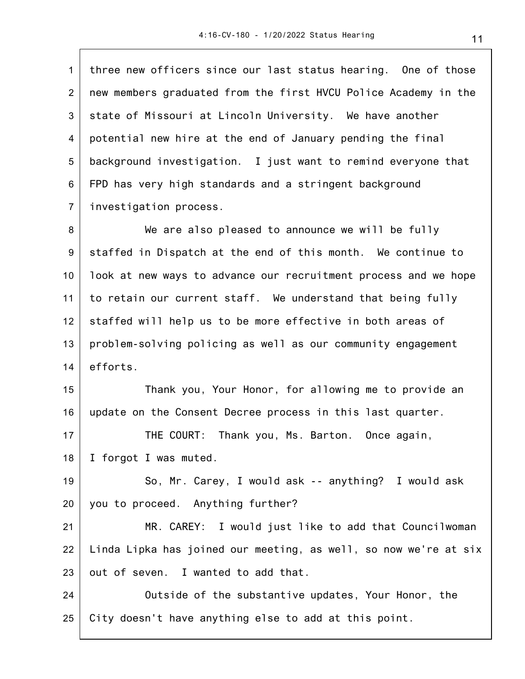1 2 3 4 5 6 7 three new officers since our last status hearing. One of those new members graduated from the first HVCU Police Academy in the state of Missouri at Lincoln University. We have another potential new hire at the end of January pending the final background investigation. I just want to remind everyone that FPD has very high standards and a stringent background investigation process.

8 9 10 11 12 13 14 We are also pleased to announce we will be fully staffed in Dispatch at the end of this month. We continue to look at new ways to advance our recruitment process and we hope to retain our current staff. We understand that being fully staffed will help us to be more effective in both areas of problem-solving policing as well as our community engagement efforts.

15 16 Thank you, Your Honor, for allowing me to provide an update on the Consent Decree process in this last quarter.

17 18 THE COURT: Thank you, Ms. Barton. Once again, I forgot I was muted.

19 20 So, Mr. Carey, I would ask -- anything? I would ask you to proceed. Anything further?

21 22 23 MR. CAREY: I would just like to add that Councilwoman Linda Lipka has joined our meeting, as well, so now we're at six out of seven. I wanted to add that.

24 25 Outside of the substantive updates, Your Honor, the City doesn't have anything else to add at this point.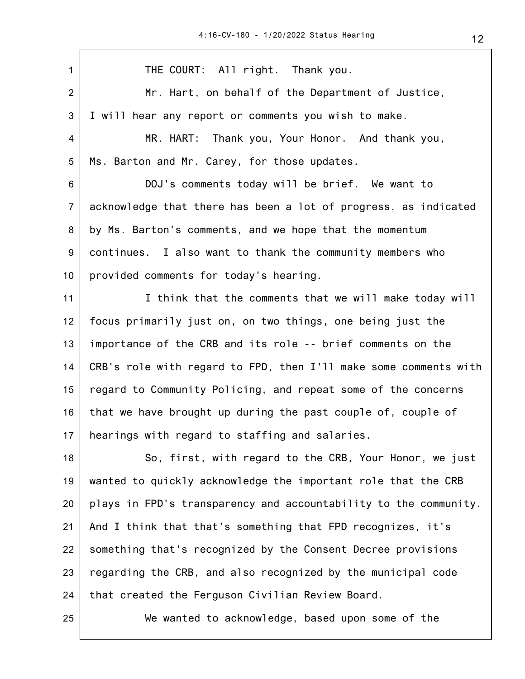| $\mathbf{1}$   | THE COURT: All right. Thank you.                                 |
|----------------|------------------------------------------------------------------|
| $\overline{2}$ | Mr. Hart, on behalf of the Department of Justice,                |
| 3              | I will hear any report or comments you wish to make.             |
| 4              | MR. HART: Thank you, Your Honor. And thank you,                  |
| 5              | Ms. Barton and Mr. Carey, for those updates.                     |
| 6              | DOJ's comments today will be brief. We want to                   |
| $\overline{7}$ | acknowledge that there has been a lot of progress, as indicated  |
| 8              | by Ms. Barton's comments, and we hope that the momentum          |
| 9              | continues. I also want to thank the community members who        |
| 10             | provided comments for today's hearing.                           |
| 11             | I think that the comments that we will make today will           |
| 12             | focus primarily just on, on two things, one being just the       |
| 13             | importance of the CRB and its role -- brief comments on the      |
| 14             | CRB's role with regard to FPD, then I'll make some comments with |
| 15             | regard to Community Policing, and repeat some of the concerns    |
| 16             | that we have brought up during the past couple of, couple of     |
| 17             | hearings with regard to staffing and salaries.                   |
| 18             | So, first, with regard to the CRB, Your Honor, we just           |
| 19             | wanted to quickly acknowledge the important role that the CRB    |
| 20             | plays in FPD's transparency and accountability to the community. |
| 21             | And I think that that's something that FPD recognizes, it's      |
| 22             | something that's recognized by the Consent Decree provisions     |
| 23             | regarding the CRB, and also recognized by the municipal code     |
| 24             | that created the Ferguson Civilian Review Board.                 |
| 25             | We wanted to acknowledge, based upon some of the                 |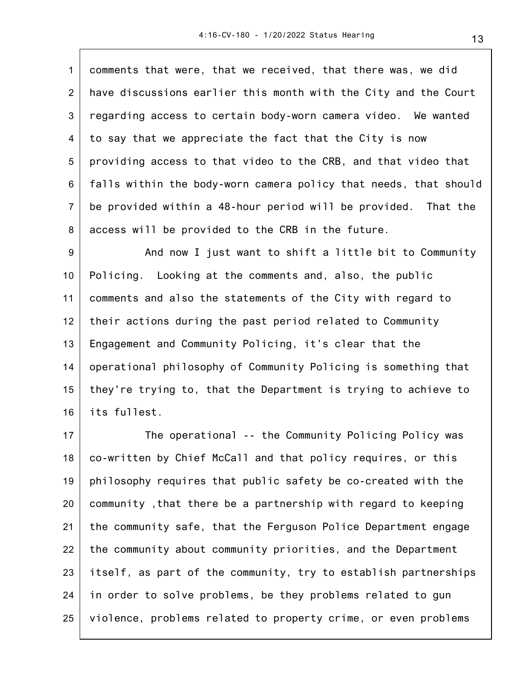1 2 3 4 5 6 7 8 comments that were, that we received, that there was, we did have discussions earlier this month with the City and the Court regarding access to certain body-worn camera video. We wanted to say that we appreciate the fact that the City is now providing access to that video to the CRB, and that video that falls within the body-worn camera policy that needs, that should be provided within a 48-hour period will be provided. That the access will be provided to the CRB in the future.

9 10 11 12 13 14 15 16 And now I just want to shift a little bit to Community Policing. Looking at the comments and, also, the public comments and also the statements of the City with regard to their actions during the past period related to Community Engagement and Community Policing, it's clear that the operational philosophy of Community Policing is something that they're trying to, that the Department is trying to achieve to its fullest.

17 18 19 20 21 22 23 24 25 The operational -- the Community Policing Policy was co-written by Chief McCall and that policy requires, or this philosophy requires that public safety be co-created with the community ,that there be a partnership with regard to keeping the community safe, that the Ferguson Police Department engage the community about community priorities, and the Department itself, as part of the community, try to establish partnerships in order to solve problems, be they problems related to gun violence, problems related to property crime, or even problems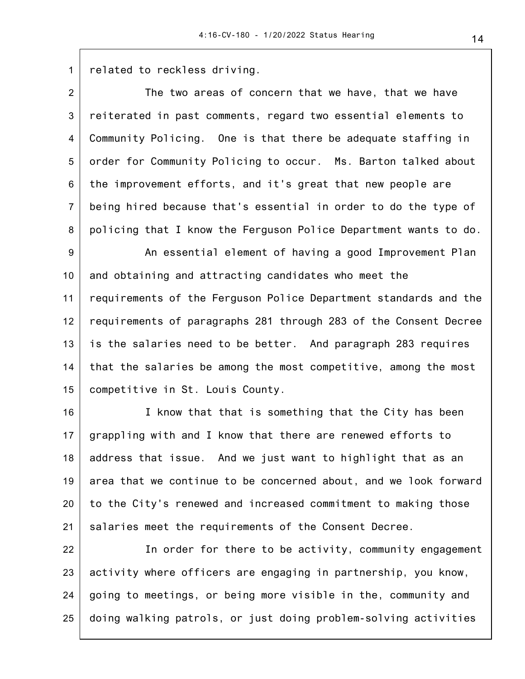1 related to reckless driving.

2 3 4 5 6 7 8 The two areas of concern that we have, that we have reiterated in past comments, regard two essential elements to Community Policing. One is that there be adequate staffing in order for Community Policing to occur. Ms. Barton talked about the improvement efforts, and it's great that new people are being hired because that's essential in order to do the type of policing that I know the Ferguson Police Department wants to do.

9 10 11 12 13 14 15 An essential element of having a good Improvement Plan and obtaining and attracting candidates who meet the requirements of the Ferguson Police Department standards and the requirements of paragraphs 281 through 283 of the Consent Decree is the salaries need to be better. And paragraph 283 requires that the salaries be among the most competitive, among the most competitive in St. Louis County.

16 17 18 19 20 21 I know that that is something that the City has been grappling with and I know that there are renewed efforts to address that issue. And we just want to highlight that as an area that we continue to be concerned about, and we look forward to the City's renewed and increased commitment to making those salaries meet the requirements of the Consent Decree.

22 23 24 25 In order for there to be activity, community engagement activity where officers are engaging in partnership, you know, going to meetings, or being more visible in the, community and doing walking patrols, or just doing problem-solving activities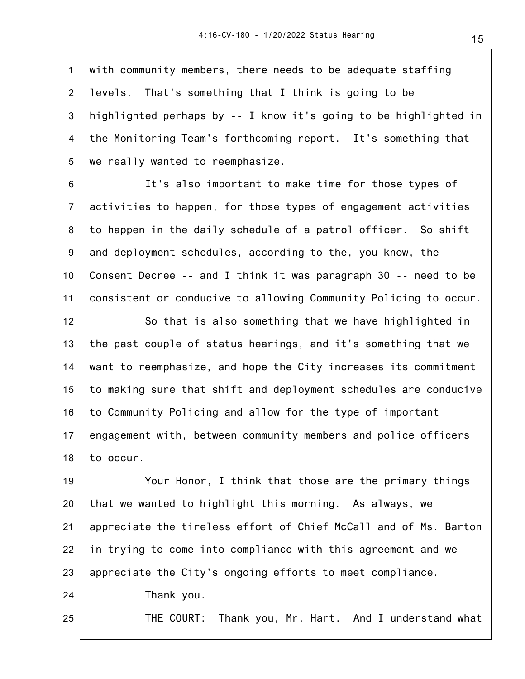1 2 3 4 5 with community members, there needs to be adequate staffing levels. That's something that I think is going to be highlighted perhaps by -- I know it's going to be highlighted in the Monitoring Team's forthcoming report. It's something that we really wanted to reemphasize.

6 7 8 9 10 11 It's also important to make time for those types of activities to happen, for those types of engagement activities to happen in the daily schedule of a patrol officer. So shift and deployment schedules, according to the, you know, the Consent Decree -- and I think it was paragraph 30 -- need to be consistent or conducive to allowing Community Policing to occur.

12 13 14 15 16 17 18 So that is also something that we have highlighted in the past couple of status hearings, and it's something that we want to reemphasize, and hope the City increases its commitment to making sure that shift and deployment schedules are conducive to Community Policing and allow for the type of important engagement with, between community members and police officers to occur.

19 20 21 22 23 24 Your Honor, I think that those are the primary things that we wanted to highlight this morning. As always, we appreciate the tireless effort of Chief McCall and of Ms. Barton in trying to come into compliance with this agreement and we appreciate the City's ongoing efforts to meet compliance. Thank you.

25

THE COURT: Thank you, Mr. Hart. And I understand what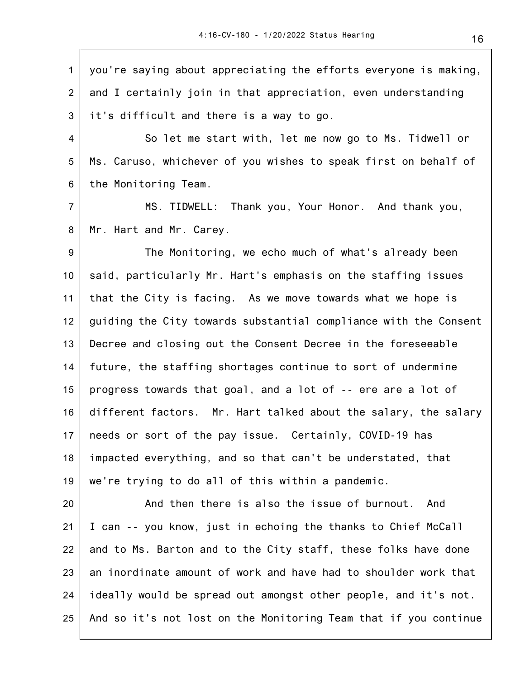1 2 3 you're saying about appreciating the efforts everyone is making, and I certainly join in that appreciation, even understanding it's difficult and there is a way to go.

4 5 6 So let me start with, let me now go to Ms. Tidwell or Ms. Caruso, whichever of you wishes to speak first on behalf of the Monitoring Team.

7 8 MS. TIDWELL: Thank you, Your Honor. And thank you, Mr. Hart and Mr. Carey.

9 10 11 12 13 14 15 16 17 18 19 The Monitoring, we echo much of what's already been said, particularly Mr. Hart's emphasis on the staffing issues that the City is facing. As we move towards what we hope is guiding the City towards substantial compliance with the Consent Decree and closing out the Consent Decree in the foreseeable future, the staffing shortages continue to sort of undermine progress towards that goal, and a lot of -- ere are a lot of different factors. Mr. Hart talked about the salary, the salary needs or sort of the pay issue. Certainly, COVID-19 has impacted everything, and so that can't be understated, that we're trying to do all of this within a pandemic.

20 21 22 23 24 25 And then there is also the issue of burnout. And I can -- you know, just in echoing the thanks to Chief McCall and to Ms. Barton and to the City staff, these folks have done an inordinate amount of work and have had to shoulder work that ideally would be spread out amongst other people, and it's not. And so it's not lost on the Monitoring Team that if you continue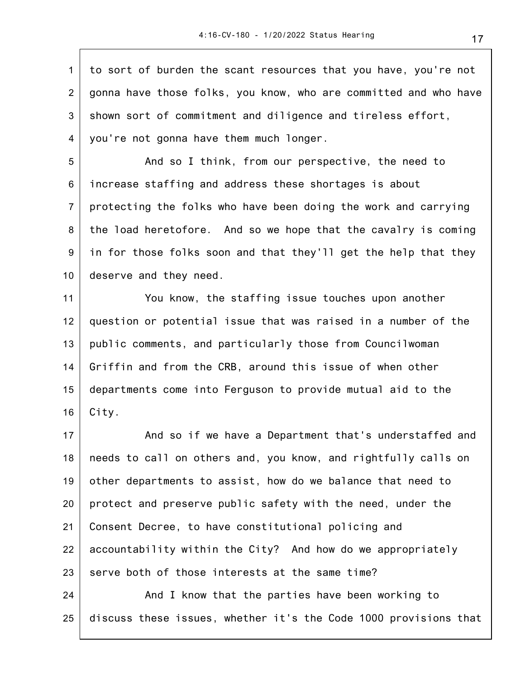1 2 3 4 to sort of burden the scant resources that you have, you're not gonna have those folks, you know, who are committed and who have shown sort of commitment and diligence and tireless effort, you're not gonna have them much longer.

5 6 7 8 9 10 And so I think, from our perspective, the need to increase staffing and address these shortages is about protecting the folks who have been doing the work and carrying the load heretofore. And so we hope that the cavalry is coming in for those folks soon and that they'll get the help that they deserve and they need.

11 12 13 14 15 16 You know, the staffing issue touches upon another question or potential issue that was raised in a number of the public comments, and particularly those from Councilwoman Griffin and from the CRB, around this issue of when other departments come into Ferguson to provide mutual aid to the City.

17 18 19 20 21 22 23 And so if we have a Department that's understaffed and needs to call on others and, you know, and rightfully calls on other departments to assist, how do we balance that need to protect and preserve public safety with the need, under the Consent Decree, to have constitutional policing and accountability within the City? And how do we appropriately serve both of those interests at the same time?

24 25 And I know that the parties have been working to discuss these issues, whether it's the Code 1000 provisions that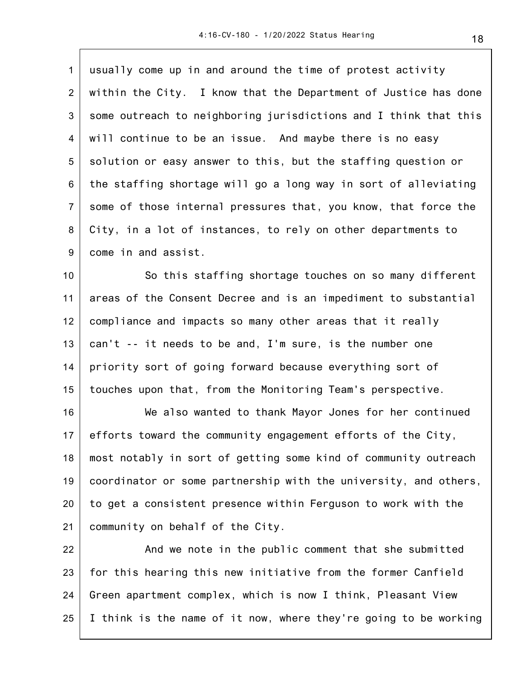| $\mathbf{1}$   | usually come up in and around the time of protest activity       |
|----------------|------------------------------------------------------------------|
| $\overline{2}$ | within the City. I know that the Department of Justice has done  |
| 3              | some outreach to neighboring jurisdictions and I think that this |
| 4              | will continue to be an issue. And maybe there is no easy         |
| 5              | solution or easy answer to this, but the staffing question or    |
| 6              | the staffing shortage will go a long way in sort of alleviating  |
| $\overline{7}$ | some of those internal pressures that, you know, that force the  |
| 8              | City, in a lot of instances, to rely on other departments to     |
| 9              | come in and assist.                                              |
| 10             | So this staffing shortage touches on so many different           |
| 11             | areas of the Consent Decree and is an impediment to substantial  |
| 12             | compliance and impacts so many other areas that it really        |
| 13             | can't -- it needs to be and, I'm sure, is the number one         |
| 14             | priority sort of going forward because everything sort of        |
| 15             | touches upon that, from the Monitoring Team's perspective.       |
| 16             | We also wanted to thank Mayor Jones for her continued            |
| 17             | efforts toward the community engagement efforts of the City,     |
| 18             | most notably in sort of getting some kind of community outreach  |
| 19             | coordinator or some partnership with the university, and others, |
| 20             | to get a consistent presence within Ferguson to work with the    |
| 21             | community on behalf of the City.                                 |
| 22             | And we note in the public comment that she submitted             |
| 23             | for this hearing this new initiative from the former Canfield    |
| 24             | Green apartment complex, which is now I think, Pleasant View     |

25 I think is the name of it now, where they're going to be working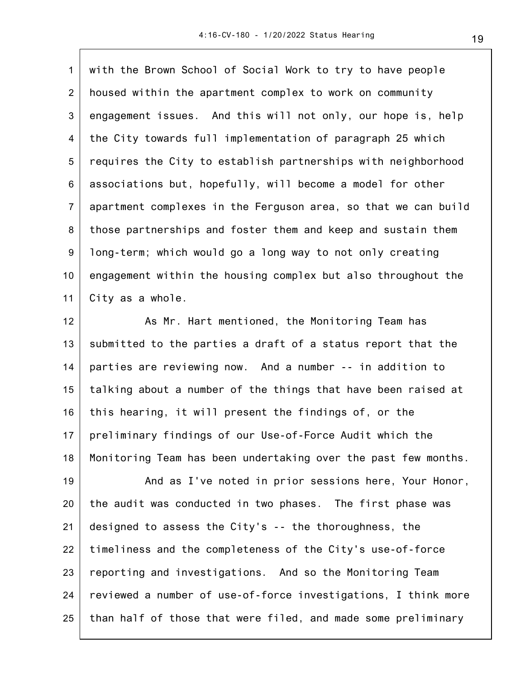1 2 3 4 5 6 7 8 9 10 11 with the Brown School of Social Work to try to have people housed within the apartment complex to work on community engagement issues. And this will not only, our hope is, help the City towards full implementation of paragraph 25 which requires the City to establish partnerships with neighborhood associations but, hopefully, will become a model for other apartment complexes in the Ferguson area, so that we can build those partnerships and foster them and keep and sustain them long-term; which would go a long way to not only creating engagement within the housing complex but also throughout the City as a whole.

12 13 14 15 16 17 18 As Mr. Hart mentioned, the Monitoring Team has submitted to the parties a draft of a status report that the parties are reviewing now. And a number -- in addition to talking about a number of the things that have been raised at this hearing, it will present the findings of, or the preliminary findings of our Use-of-Force Audit which the Monitoring Team has been undertaking over the past few months.

19 20 21 22 23 24 25 And as I've noted in prior sessions here, Your Honor, the audit was conducted in two phases. The first phase was designed to assess the City's -- the thoroughness, the timeliness and the completeness of the City's use-of-force reporting and investigations. And so the Monitoring Team reviewed a number of use-of-force investigations, I think more than half of those that were filed, and made some preliminary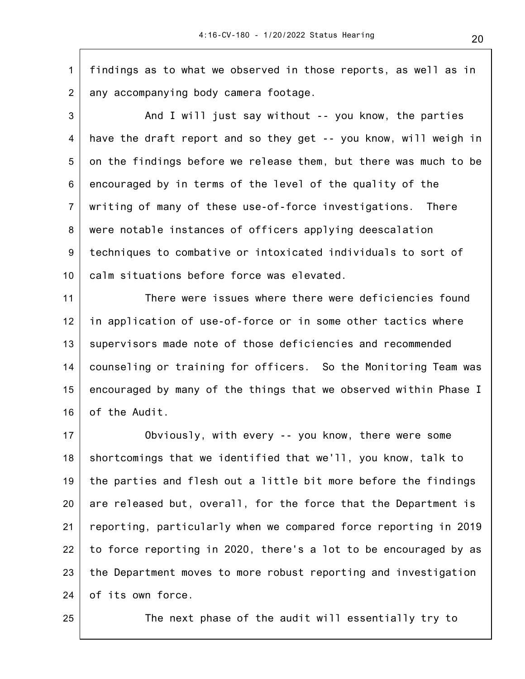1 2 findings as to what we observed in those reports, as well as in any accompanying body camera footage.

3 4 5 6 7 8 9 10 And I will just say without -- you know, the parties have the draft report and so they get -- you know, will weigh in on the findings before we release them, but there was much to be encouraged by in terms of the level of the quality of the writing of many of these use-of-force investigations. There were notable instances of officers applying deescalation techniques to combative or intoxicated individuals to sort of calm situations before force was elevated.

11 12 13 14 15 16 There were issues where there were deficiencies found in application of use-of-force or in some other tactics where supervisors made note of those deficiencies and recommended counseling or training for officers. So the Monitoring Team was encouraged by many of the things that we observed within Phase I of the Audit.

17 18 19 20 21 22 23 24 Obviously, with every -- you know, there were some shortcomings that we identified that we'll, you know, talk to the parties and flesh out a little bit more before the findings are released but, overall, for the force that the Department is reporting, particularly when we compared force reporting in 2019 to force reporting in 2020, there's a lot to be encouraged by as the Department moves to more robust reporting and investigation of its own force.

25

The next phase of the audit will essentially try to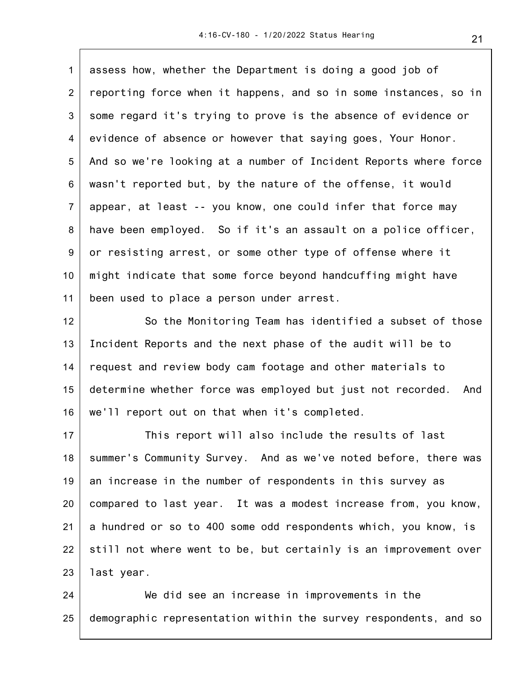1 2 3 4 5 6 7 8 9 10 11 assess how, whether the Department is doing a good job of reporting force when it happens, and so in some instances, so in some regard it's trying to prove is the absence of evidence or evidence of absence or however that saying goes, Your Honor. And so we're looking at a number of Incident Reports where force wasn't reported but, by the nature of the offense, it would appear, at least -- you know, one could infer that force may have been employed. So if it's an assault on a police officer, or resisting arrest, or some other type of offense where it might indicate that some force beyond handcuffing might have been used to place a person under arrest.

12 13 14 15 16 So the Monitoring Team has identified a subset of those Incident Reports and the next phase of the audit will be to request and review body cam footage and other materials to determine whether force was employed but just not recorded. And we'll report out on that when it's completed.

17 18 19 20 21 22 23 This report will also include the results of last summer's Community Survey. And as we've noted before, there was an increase in the number of respondents in this survey as compared to last year. It was a modest increase from, you know, a hundred or so to 400 some odd respondents which, you know, is still not where went to be, but certainly is an improvement over last year.

24 25 We did see an increase in improvements in the demographic representation within the survey respondents, and so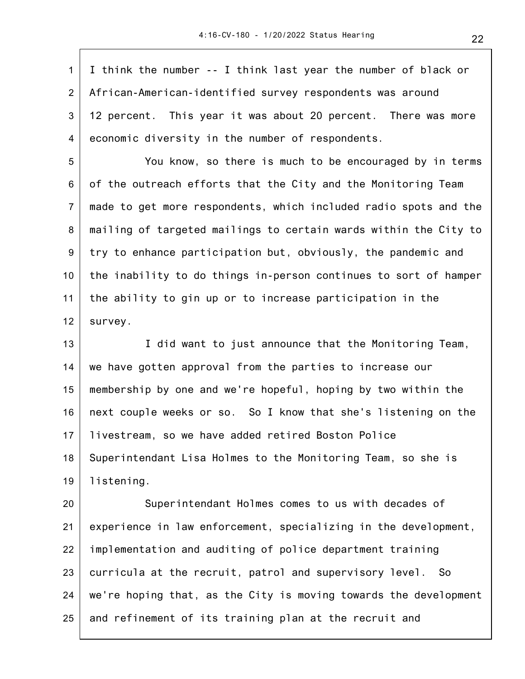1 2 3 4 I think the number -- I think last year the number of black or African-American-identified survey respondents was around 12 percent. This year it was about 20 percent. There was more economic diversity in the number of respondents.

5 6 7 8 9 10 11 12 You know, so there is much to be encouraged by in terms of the outreach efforts that the City and the Monitoring Team made to get more respondents, which included radio spots and the mailing of targeted mailings to certain wards within the City to try to enhance participation but, obviously, the pandemic and the inability to do things in-person continues to sort of hamper the ability to gin up or to increase participation in the survey.

13 14 15 16 17 18 19 I did want to just announce that the Monitoring Team, we have gotten approval from the parties to increase our membership by one and we're hopeful, hoping by two within the next couple weeks or so. So I know that she's listening on the livestream, so we have added retired Boston Police Superintendant Lisa Holmes to the Monitoring Team, so she is listening.

20 21 22 23 24 25 Superintendant Holmes comes to us with decades of experience in law enforcement, specializing in the development, implementation and auditing of police department training curricula at the recruit, patrol and supervisory level. So we're hoping that, as the City is moving towards the development and refinement of its training plan at the recruit and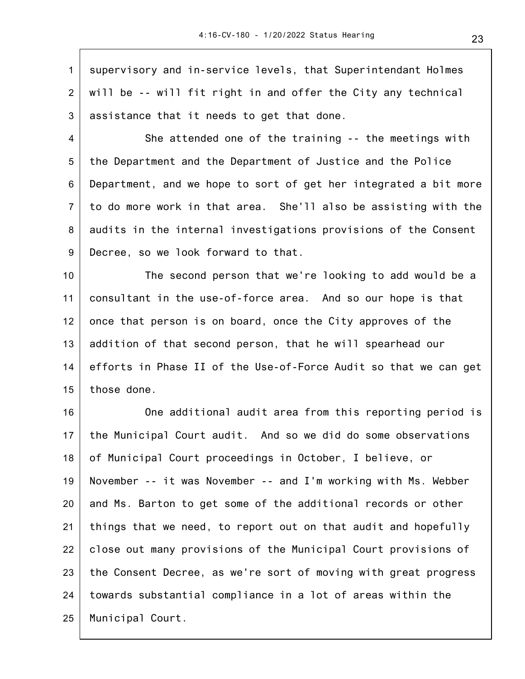1 2 3 supervisory and in-service levels, that Superintendant Holmes will be -- will fit right in and offer the City any technical assistance that it needs to get that done.

4 5 6 7 8 9 She attended one of the training -- the meetings with the Department and the Department of Justice and the Police Department, and we hope to sort of get her integrated a bit more to do more work in that area. She'll also be assisting with the audits in the internal investigations provisions of the Consent Decree, so we look forward to that.

10 11 12 13 14 15 The second person that we're looking to add would be a consultant in the use-of-force area. And so our hope is that once that person is on board, once the City approves of the addition of that second person, that he will spearhead our efforts in Phase II of the Use-of-Force Audit so that we can get those done.

16 17 18 19 20 21 22 23 24 25 One additional audit area from this reporting period is the Municipal Court audit. And so we did do some observations of Municipal Court proceedings in October, I believe, or November -- it was November -- and I'm working with Ms. Webber and Ms. Barton to get some of the additional records or other things that we need, to report out on that audit and hopefully close out many provisions of the Municipal Court provisions of the Consent Decree, as we're sort of moving with great progress towards substantial compliance in a lot of areas within the Municipal Court.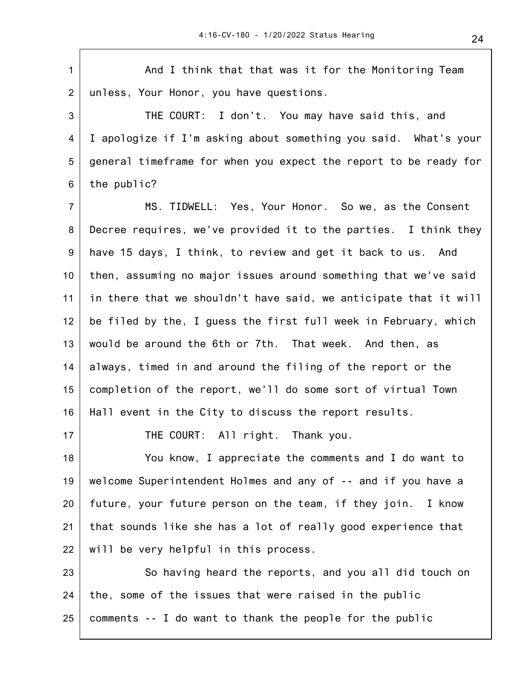1 2 3 4 5 6 7 8 9 10 11 12 13 14 15 16 17 18 19 20 21 22 23 And I think that that was it for the Monitoring Team unless, Your Honor, you have questions. THE COURT: I don't. You may have said this, and I apologize if I'm asking about something you said. What's your general timeframe for when you expect the report to be ready for the public? MS. TIDWELL: Yes, Your Honor. So we, as the Consent Decree requires, we've provided it to the parties. I think they have 15 days, I think, to review and get it back to us. And then, assuming no major issues around something that we've said in there that we shouldn't have said, we anticipate that it will be filed by the, I guess the first full week in February, which would be around the 6th or 7th. That week. And then, as always, timed in and around the filing of the report or the completion of the report, we'll do some sort of virtual Town Hall event in the City to discuss the report results. THE COURT: All right. Thank you. You know, I appreciate the comments and I do want to welcome Superintendent Holmes and any of -- and if you have a future, your future person on the team, if they join. I know that sounds like she has a lot of really good experience that will be very helpful in this process. So having heard the reports, and you all did touch on

24 25 the, some of the issues that were raised in the public comments -- I do want to thank the people for the public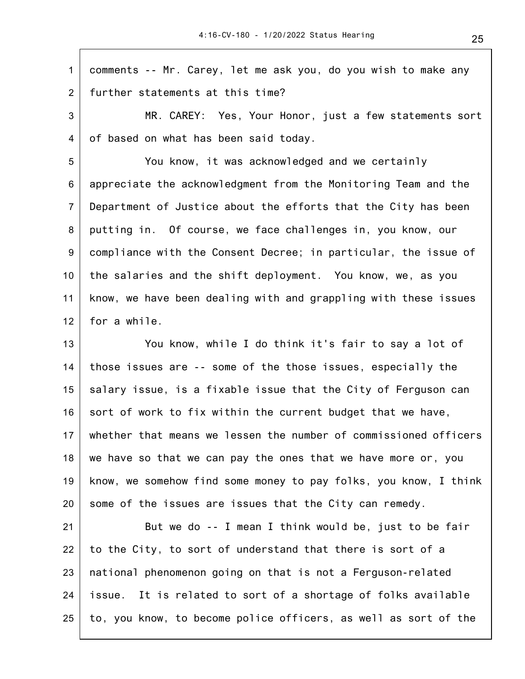1 2 comments -- Mr. Carey, let me ask you, do you wish to make any further statements at this time?

3 4 MR. CAREY: Yes, Your Honor, just a few statements sort of based on what has been said today.

5 6 7 8 9 10 11 12 You know, it was acknowledged and we certainly appreciate the acknowledgment from the Monitoring Team and the Department of Justice about the efforts that the City has been putting in. Of course, we face challenges in, you know, our compliance with the Consent Decree; in particular, the issue of the salaries and the shift deployment. You know, we, as you know, we have been dealing with and grappling with these issues for a while.

13 14 15 16 17 18 19 20 You know, while I do think it's fair to say a lot of those issues are -- some of the those issues, especially the salary issue, is a fixable issue that the City of Ferguson can sort of work to fix within the current budget that we have, whether that means we lessen the number of commissioned officers we have so that we can pay the ones that we have more or, you know, we somehow find some money to pay folks, you know, I think some of the issues are issues that the City can remedy.

21 22 23 24 25 But we do -- I mean I think would be, just to be fair to the City, to sort of understand that there is sort of a national phenomenon going on that is not a Ferguson-related issue. It is related to sort of a shortage of folks available to, you know, to become police officers, as well as sort of the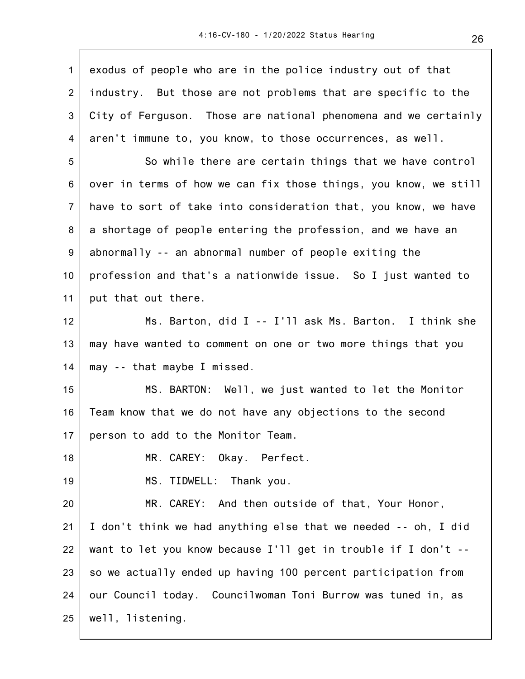| $\mathbf{1}$     | exodus of people who are in the police industry out of that      |
|------------------|------------------------------------------------------------------|
| 2                | industry. But those are not problems that are specific to the    |
| 3                | City of Ferguson. Those are national phenomena and we certainly  |
| 4                | aren't immune to, you know, to those occurrences, as well.       |
| $\sqrt{5}$       | So while there are certain things that we have control           |
| 6                | over in terms of how we can fix those things, you know, we still |
| $\overline{7}$   | have to sort of take into consideration that, you know, we have  |
| 8                | a shortage of people entering the profession, and we have an     |
| $\boldsymbol{9}$ | abnormally -- an abnormal number of people exiting the           |
| 10               | profession and that's a nationwide issue. So I just wanted to    |
| 11               | put that out there.                                              |
| 12               | Ms. Barton, did I -- I'll ask Ms. Barton. I think she            |
| 13               | may have wanted to comment on one or two more things that you    |
| 14               | may -- that maybe I missed.                                      |
| 15               | MS. BARTON: Well, we just wanted to let the Monitor              |
| 16               | Team know that we do not have any objections to the second       |
| 17               | person to add to the Monitor Team.                               |
| 18               | MR. CAREY: Okay. Perfect.                                        |
| 19               | MS. TIDWELL: Thank you.                                          |
| 20               | MR. CAREY: And then outside of that, Your Honor,                 |
| 21               | I don't think we had anything else that we needed -- oh, I did   |
| 22               | want to let you know because I'll get in trouble if I don't --   |
| 23               | so we actually ended up having 100 percent participation from    |
| 24               | our Council today. Councilwoman Toni Burrow was tuned in, as     |
| 25               | well, listening.                                                 |
|                  |                                                                  |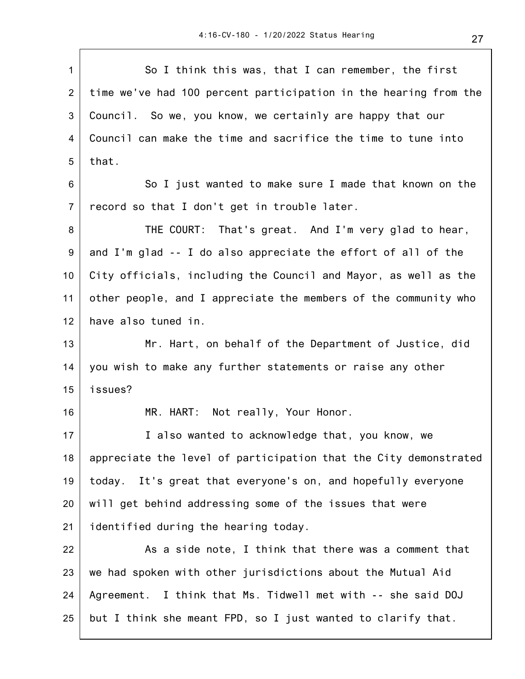$\overline{\phantom{a}}$ 

| $\mathbf{1}$   | So I think this was, that I can remember, the first              |
|----------------|------------------------------------------------------------------|
| $\overline{2}$ | time we've had 100 percent participation in the hearing from the |
| 3              | Council. So we, you know, we certainly are happy that our        |
| 4              | Council can make the time and sacrifice the time to tune into    |
| 5              | that.                                                            |
| 6              | So I just wanted to make sure I made that known on the           |
| $\overline{7}$ | record so that I don't get in trouble later.                     |
| 8              | THE COURT: That's great. And I'm very glad to hear,              |
| 9              | and I'm glad -- I do also appreciate the effort of all of the    |
| 10             | City officials, including the Council and Mayor, as well as the  |
| 11             | other people, and I appreciate the members of the community who  |
| 12             | have also tuned in.                                              |
| 13             | Mr. Hart, on behalf of the Department of Justice, did            |
| 14             | you wish to make any further statements or raise any other       |
| 15             | issues?                                                          |
| 16             | MR. HART: Not really, Your Honor.                                |
| 17             | I also wanted to acknowledge that, you know, we                  |
| 18             | appreciate the level of participation that the City demonstrated |
| 19             | today. It's great that everyone's on, and hopefully everyone     |
| 20             | will get behind addressing some of the issues that were          |
| 21             | identified during the hearing today.                             |
| 22             | As a side note, I think that there was a comment that            |
| 23             | we had spoken with other jurisdictions about the Mutual Aid      |
| 24             | Agreement. I think that Ms. Tidwell met with -- she said DOJ     |
| 25             | but I think she meant FPD, so I just wanted to clarify that.     |
|                |                                                                  |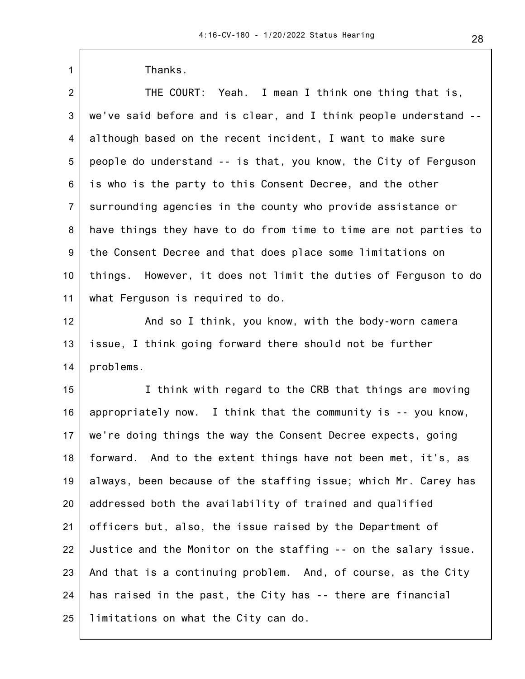| $\mathbf{1}$   | Thanks.                                                          |
|----------------|------------------------------------------------------------------|
| $\overline{2}$ | THE COURT: Yeah. I mean I think one thing that is,               |
| 3              | we've said before and is clear, and I think people understand -- |
| 4              | although based on the recent incident, I want to make sure       |
| 5              | people do understand -- is that, you know, the City of Ferguson  |
| 6              | is who is the party to this Consent Decree, and the other        |
| $\overline{7}$ | surrounding agencies in the county who provide assistance or     |
| 8              | have things they have to do from time to time are not parties to |
| 9              | the Consent Decree and that does place some limitations on       |
| 10             | things. However, it does not limit the duties of Ferguson to do  |
| 11             | what Ferguson is required to do.                                 |
| 12             | And so I think, you know, with the body-worn camera              |
| 13             | issue, I think going forward there should not be further         |
| 14             | problems.                                                        |
| 15             | I think with regard to the CRB that things are moving            |
| 16             | appropriately now. I think that the community is -- you know,    |
| 17             | we're doing things the way the Consent Decree expects, going     |
| 18             | forward. And to the extent things have not been met, it's, as    |
| 19             | always, been because of the staffing issue; which Mr. Carey has  |
| 20             | addressed both the availability of trained and qualified         |
| 21             | officers but, also, the issue raised by the Department of        |
| 22             | Justice and the Monitor on the staffing -- on the salary issue.  |
| 23             | And that is a continuing problem. And, of course, as the City    |
| 24             | has raised in the past, the City has -- there are financial      |
| 25             | limitations on what the City can do.                             |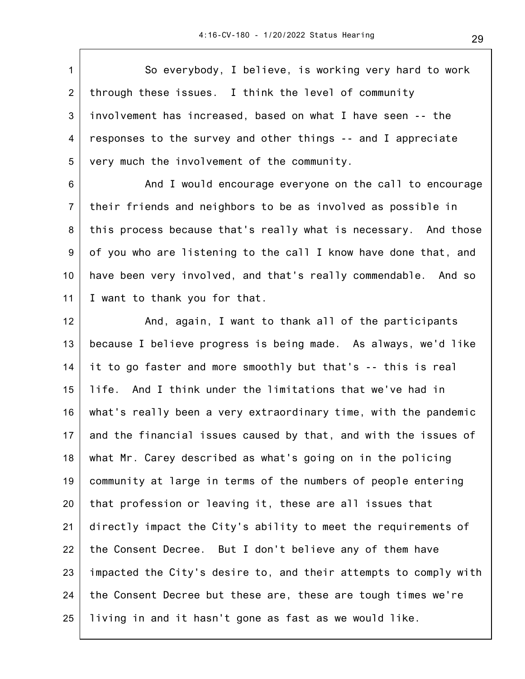1 2 3 4 5 6 7 8 9 10 11 12 13 14 15 16 17 18 19 20 21 22 23 24 25 So everybody, I believe, is working very hard to work through these issues. I think the level of community involvement has increased, based on what I have seen -- the responses to the survey and other things -- and I appreciate very much the involvement of the community. And I would encourage everyone on the call to encourage their friends and neighbors to be as involved as possible in this process because that's really what is necessary. And those of you who are listening to the call I know have done that, and have been very involved, and that's really commendable. And so I want to thank you for that. And, again, I want to thank all of the participants because I believe progress is being made. As always, we'd like it to go faster and more smoothly but that's -- this is real life. And I think under the limitations that we've had in what's really been a very extraordinary time, with the pandemic and the financial issues caused by that, and with the issues of what Mr. Carey described as what's going on in the policing community at large in terms of the numbers of people entering that profession or leaving it, these are all issues that directly impact the City's ability to meet the requirements of the Consent Decree. But I don't believe any of them have impacted the City's desire to, and their attempts to comply with the Consent Decree but these are, these are tough times we're living in and it hasn't gone as fast as we would like.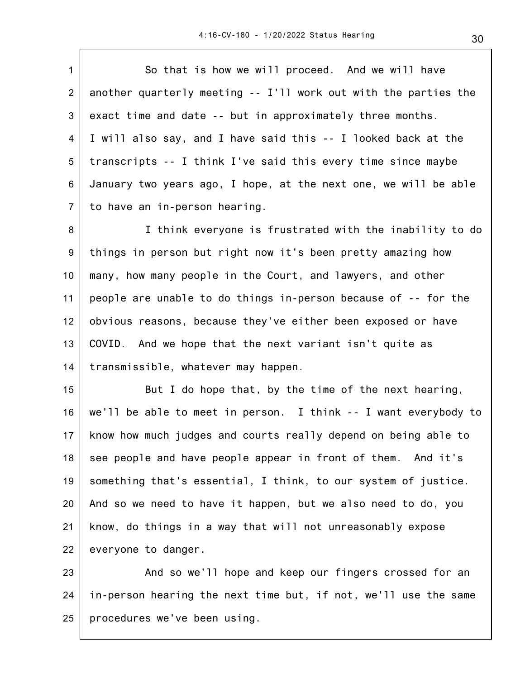1 2 3 4 5 6 7 So that is how we will proceed. And we will have another quarterly meeting -- I'll work out with the parties the exact time and date -- but in approximately three months. I will also say, and I have said this -- I looked back at the transcripts -- I think I've said this every time since maybe January two years ago, I hope, at the next one, we will be able to have an in-person hearing.

8 9 10 11 12 13 14 I think everyone is frustrated with the inability to do things in person but right now it's been pretty amazing how many, how many people in the Court, and lawyers, and other people are unable to do things in-person because of -- for the obvious reasons, because they've either been exposed or have COVID. And we hope that the next variant isn't quite as transmissible, whatever may happen.

15 16 17 18 19 20 21 22 But I do hope that, by the time of the next hearing, we'll be able to meet in person. I think -- I want everybody to know how much judges and courts really depend on being able to see people and have people appear in front of them. And it's something that's essential, I think, to our system of justice. And so we need to have it happen, but we also need to do, you know, do things in a way that will not unreasonably expose everyone to danger.

23 24 25 And so we'll hope and keep our fingers crossed for an in-person hearing the next time but, if not, we'll use the same procedures we've been using.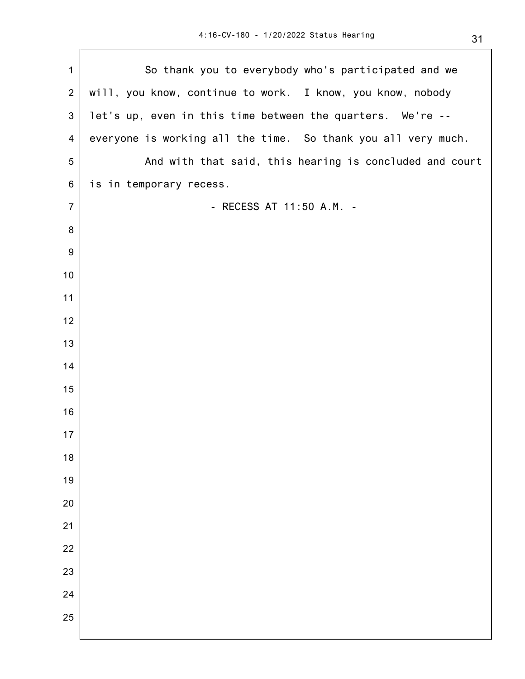$\overline{\phantom{a}}$ 

| $\mathbf 1$    | So thank you to everybody who's participated and we           |
|----------------|---------------------------------------------------------------|
| $\overline{2}$ | will, you know, continue to work. I know, you know, nobody    |
| 3              | let's up, even in this time between the quarters. We're --    |
| $\overline{4}$ | everyone is working all the time. So thank you all very much. |
| $\sqrt{5}$     | And with that said, this hearing is concluded and court       |
| 6              | is in temporary recess.                                       |
| $\overline{7}$ | - RECESS AT 11:50 A.M. -                                      |
| $\bf 8$        |                                                               |
| $9\,$          |                                                               |
| 10             |                                                               |
| 11             |                                                               |
| 12             |                                                               |
| 13             |                                                               |
| 14             |                                                               |
| 15             |                                                               |
| 16             |                                                               |
| 17             |                                                               |
| 18             |                                                               |
| 19             |                                                               |
| 20             |                                                               |
| 21             |                                                               |
| 22             |                                                               |
| 23             |                                                               |
| 24             |                                                               |
| 25             |                                                               |
|                |                                                               |